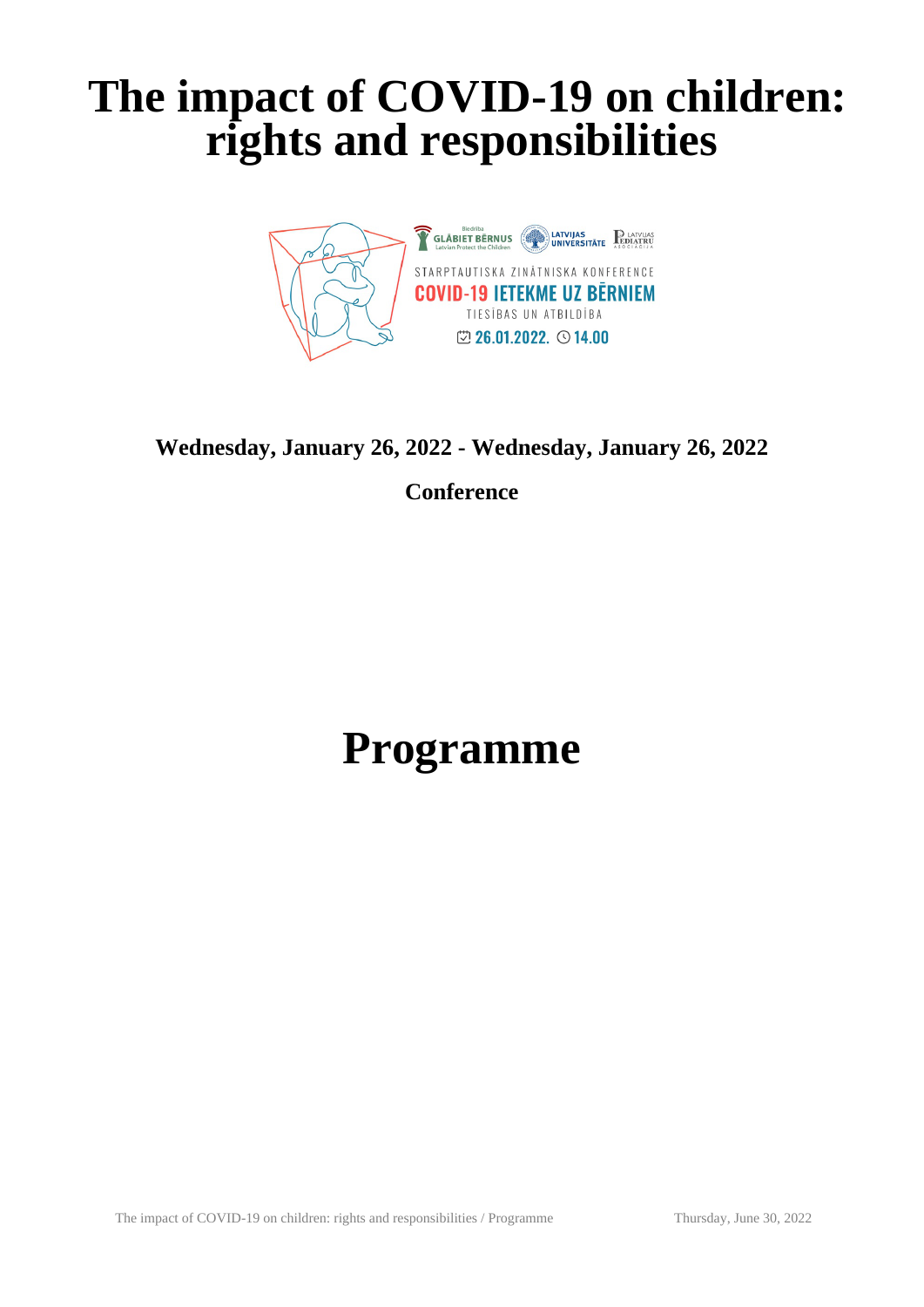## **The impact of COVID-19 on children: rights and responsibilities**



## **Wednesday, January 26, 2022 - Wednesday, January 26, 2022**

**Conference**

## **Programme**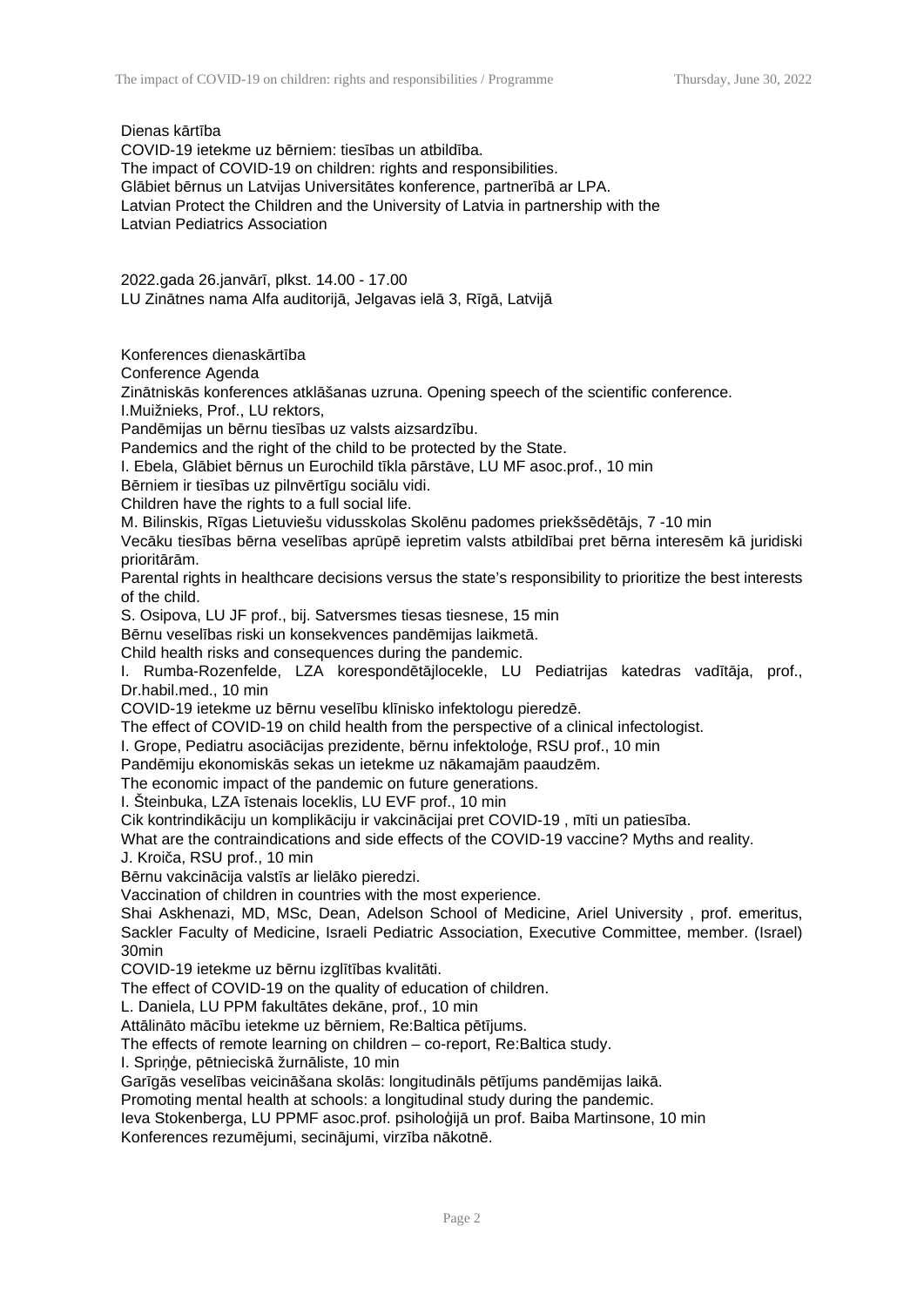Dienas kārtība

COVID-19 ietekme uz bērniem: tiesības un atbildība. The impact of COVID-19 on children: rights and responsibilities. Glābiet bērnus un Latvijas Universitātes konference, partnerībā ar LPA. Latvian Protect the Children and the University of Latvia in partnership with the Latvian Pediatrics Association

2022.gada 26.janvārī, plkst. 14.00 - 17.00 LU Zinātnes nama Alfa auditorijā, Jelgavas ielā 3, Rīgā, Latvijā

Konferences dienaskārtība

Conference Agenda

Zinātniskās konferences atklāšanas uzruna. Opening speech of the scientific conference. I.Muižnieks, Prof., LU rektors,

Pandēmijas un bērnu tiesības uz valsts aizsardzību.

Pandemics and the right of the child to be protected by the State.

I. Ebela, Glābiet bērnus un Eurochild tīkla pārstāve, LU MF asoc.prof., 10 min

Bērniem ir tiesības uz pilnvērtīgu sociālu vidi.

Children have the rights to a full social life.

M. Bilinskis, Rīgas Lietuviešu vidusskolas Skolēnu padomes priekšsēdētājs, 7 -10 min

Vecāku tiesības bērna veselības aprūpē iepretim valsts atbildībai pret bērna interesēm kā juridiski prioritārām.

Parental rights in healthcare decisions versus the state's responsibility to prioritize the best interests of the child.

S. Osipova, LU JF prof., bij. Satversmes tiesas tiesnese, 15 min

Bērnu veselības riski un konsekvences pandēmijas laikmetā.

Child health risks and consequences during the pandemic.

I. Rumba-Rozenfelde, LZA korespondētājlocekle, LU Pediatrijas katedras vadītāja, prof., Dr.habil.med., 10 min

COVID-19 ietekme uz bērnu veselību klīnisko infektologu pieredzē.

The effect of COVID-19 on child health from the perspective of a clinical infectologist.

I. Grope, Pediatru asociācijas prezidente, bērnu infektoloģe, RSU prof., 10 min

Pandēmiju ekonomiskās sekas un ietekme uz nākamajām paaudzēm.

The economic impact of the pandemic on future generations.

I. Šteinbuka, LZA īstenais loceklis, LU EVF prof., 10 min

Cik kontrindikāciju un komplikāciju ir vakcinācijai pret COVID-19 , mīti un patiesība.

What are the contraindications and side effects of the COVID-19 vaccine? Myths and reality.

J. Kroiča, RSU prof., 10 min

Bērnu vakcinācija valstīs ar lielāko pieredzi.

Vaccination of children in countries with the most experience.

Shai Askhenazi, MD, MSc, Dean, Adelson School of Medicine, Ariel University , prof. emeritus, Sackler Faculty of Medicine, Israeli Pediatric Association, Executive Committee, member. (Israel) 30min

COVID-19 ietekme uz bērnu izglītības kvalitāti.

The effect of COVID-19 on the quality of education of children.

L. Daniela, LU PPM fakultātes dekāne, prof., 10 min

Attālināto mācību ietekme uz bērniem, Re:Baltica pētījums.

The effects of remote learning on children – co-report, Re:Baltica study.

I. Spriņģe, pētnieciskā žurnāliste, 10 min

Garīgās veselības veicināšana skolās: longitudināls pētījums pandēmijas laikā.

Promoting mental health at schools: a longitudinal study during the pandemic.

Ieva Stokenberga, LU PPMF asoc.prof. psiholoģijā un prof. Baiba Martinsone, 10 min

Konferences rezumējumi, secinājumi, virzība nākotnē.